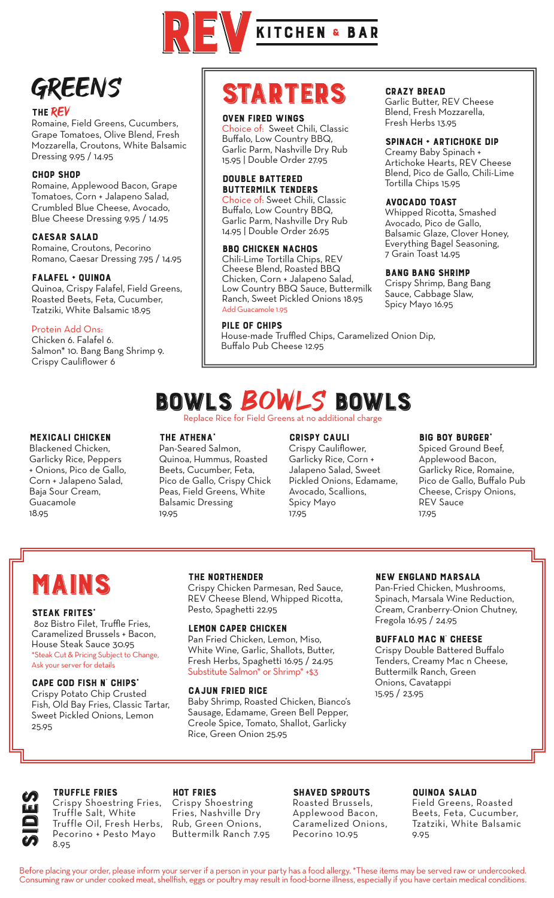

### GREENS

#### THE REV

Romaine, Field Greens, Cucumbers, Grape Tomatoes, Olive Blend, Fresh Mozzarella, Croutons, White Balsamic Dressing 9.95 / 14.95

#### CHOP SHOP

Romaine, Applewood Bacon, Grape Tomatoes, Corn + Jalapeno Salad, Crumbled Blue Cheese, Avocado, Blue Cheese Dressing 9.95 / 14.95

#### CAESAR SALAD

Romaine, Croutons, Pecorino Romano, Caesar Dressing 7.95 / 14.95

#### FALAFEL + QUINOA

Quinoa, Crispy Falafel, Field Greens, Roasted Beets, Feta, Cucumber, Tzatziki, White Balsamic 18.95

#### Protein Add Ons:

Chicken 6. Falafel 6. Salmon\* 10. Bang Bang Shrimp 9. Crispy Cauliflower 6

#### MEXICALI CHICKEN

Blackened Chicken, Garlicky Rice, Peppers + Onions, Pico de Gallo, Corn + Jalapeno Salad, Baja Sour Cream, Guacamole 18.95

## STARTERS

#### OVEN FIRED WINGS

Choice of: Sweet Chili, Classic Buffalo, Low Country BBQ, Garlic Parm, Nashville Dry Rub 15.95 | Double Order 27.95

#### DOUBLE BATTERED BUTTERMILK TENDERS

Choice of: Sweet Chili, Classic Buffalo, Low Country BBQ, Garlic Parm, Nashville Dry Rub 14.95 | Double Order 26.95

#### BBQ CHICKEN NACHOS

Chili-Lime Tortilla Chips, REV Cheese Blend, Roasted BBQ Chicken, Corn + Jalapeno Salad, Low Country BBQ Sauce, Buttermilk Ranch, Sweet Pickled Onions 18.95 Add Guacamole 1.95

#### PILE OF CHIPS

House-made Truffled Chips, Caramelized Onion Dip, Buffalo Pub Cheese 12.95

#### CRAZY BREAD

Garlic Butter, REV Cheese Blend, Fresh Mozzarella, Fresh Herbs 13.95

#### SPINACH + ARTICHOKE DIP

Creamy Baby Spinach + Artichoke Hearts, REV Cheese Blend, Pico de Gallo, Chili-Lime Tortilla Chips 15.95

#### AVOCADO TOAST

Whipped Ricotta, Smashed Avocado, Pico de Gallo, Balsamic Glaze, Clover Honey, Everything Bagel Seasoning, 7 Grain Toast 14.95

#### BANG BANG SHRIMP

Crispy Shrimp, Bang Bang Sauce, Cabbage Slaw, Spicy Mayo 16.95

# **BOWLS BOWLS BOWLS**

#### THE ATHENA<sup>\*</sup>

Pan-Seared Salmon, Quinoa, Hummus, Roasted Beets, Cucumber, Feta, Pico de Gallo, Crispy Chick Peas, Field Greens, White Balsamic Dressing 19.95

#### CRISPY CAULI

Crispy Cauliflower, Garlicky Rice, Corn + Jalapeno Salad, Sweet Pickled Onions, Edamame, Avocado, Scallions, Spicy Mayo 17.95

#### **BIG BOY BURGER'**

Spiced Ground Beef, Applewood Bacon, Garlicky Rice, Romaine, Pico de Gallo, Buffalo Pub Cheese, Crispy Onions, REV Sauce 17.95

### **MAINS** THE NORTHENDER

#### **STEAK FRITES'**

 8oz Bistro Filet, Truffle Fries, Caramelized Brussels + Bacon, House Steak Sauce 30.95 \*Steak Cut & Pricing Subject to Change, Ask your server for details

#### **CAPE COD FISH N' CHIPS'**

Crispy Potato Chip Crusted Fish, Old Bay Fries, Classic Tartar, Sweet Pickled Onions, Lemon 25.95

Crispy Chicken Parmesan, Red Sauce, REV Cheese Blend, Whipped Ricotta, Pesto, Spaghetti 22.95

#### LEMON CAPER CHICKEN

Pan Fried Chicken, Lemon, Miso, White Wine, Garlic, Shallots, Butter, Fresh Herbs, Spaghetti 16.95 / 24.95 Substitute Salmon\* or Shrimp\* +\$3

#### CAJUN FRIED RICE

Baby Shrimp, Roasted Chicken, Bianco's Sausage, Edamame, Green Bell Pepper, Creole Spice, Tomato, Shallot, Garlicky Rice, Green Onion 25.95

#### NEW ENGLAND MARSALA

Pan-Fried Chicken, Mushrooms, Spinach, Marsala Wine Reduction, Cream, Cranberry-Onion Chutney, Fregola 16.95 / 24.95

#### BUFFALO MAC N' CHEESE

Crispy Double Battered Buffalo Tenders, Creamy Mac n Cheese, Buttermilk Ranch, Green Onions, Cavatappi 15.95 / 23.95

SPORT TRUFFLE FRIES<br>Crispy Shoestring<br>Truffle Salt, WH<br>Truffle Oil, Fres<br>Pecorino + Pest<br>Ros Crispy Shoestring Fries, Truffle Salt, White Truffle Oil, Fresh Herbs, Pecorino + Pesto Mayo 8.95

HOT FRIES Crispy Shoestring Fries, Nashville Dry Rub, Green Onions, Buttermilk Ranch 7.95

#### SHAVED SPROUTS

Roasted Brussels, Applewood Bacon, Caramelized Onions, Pecorino 10.95

#### QUINOA SALAD

Field Greens, Roasted Beets, Feta, Cucumber, Tzatziki, White Balsamic 9.95

Before placing your order, please inform your server if a person in your party has a food allergy. \*These items may be served raw or undercooked. Consuming raw or under cooked meat, shellfish, eggs or poultry may result in food-borne illness, especially if you have certain medical conditions.